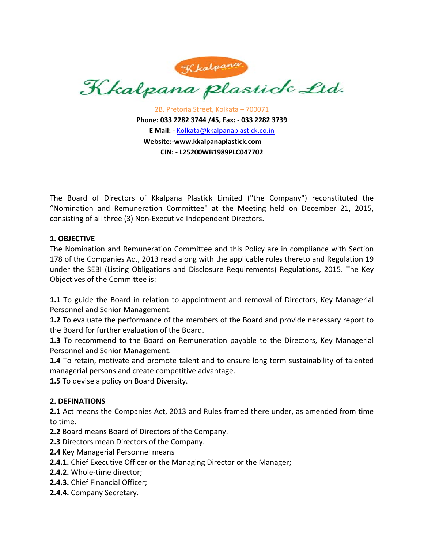

2B, Pretoria Street, Kolkata – 700071 **Phone: 033 2282 3744 /45, Fax: ‐ 033 2282 3739 E Mail: ‐** Kolkata@kkalpanaplastick.co.in **Website:‐www.kkalpanaplastick.com CIN: ‐ L25200WB1989PLC047702**

The Board of Directors of Kkalpana Plastick Limited ("the Company") reconstituted the "Nomination and Remuneration Committee" at the Meeting held on December 21, 2015, consisting of all three (3) Non‐Executive Independent Directors.

# **1. OBJECTIVE**

The Nomination and Remuneration Committee and this Policy are in compliance with Section 178 of the Companies Act, 2013 read along with the applicable rules thereto and Regulation 19 under the SEBI (Listing Obligations and Disclosure Requirements) Regulations, 2015. The Key Objectives of the Committee is:

**1.1** To guide the Board in relation to appointment and removal of Directors, Key Managerial Personnel and Senior Management.

**1.2** To evaluate the performance of the members of the Board and provide necessary report to the Board for further evaluation of the Board.

**1.3** To recommend to the Board on Remuneration payable to the Directors, Key Managerial Personnel and Senior Management.

**1.4** To retain, motivate and promote talent and to ensure long term sustainability of talented managerial persons and create competitive advantage.

**1.5** To devise a policy on Board Diversity.

# **2. DEFINATIONS**

**2.1** Act means the Companies Act, 2013 and Rules framed there under, as amended from time to time.

**2.2** Board means Board of Directors of the Company.

**2.3** Directors mean Directors of the Company.

**2.4** Key Managerial Personnel means

- **2.4.1.** Chief Executive Officer or the Managing Director or the Manager;
- **2.4.2.** Whole‐time director;
- **2.4.3.** Chief Financial Officer;
- **2.4.4.** Company Secretary.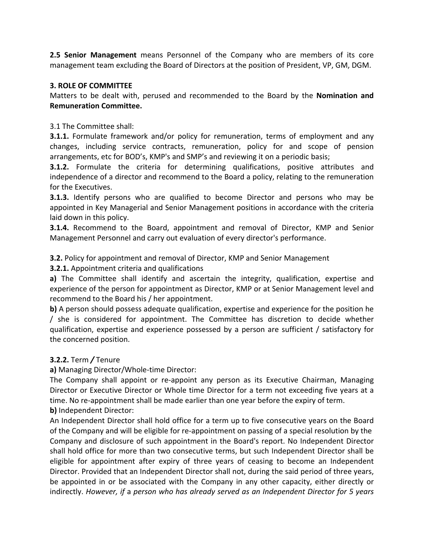**2.5 Senior Management** means Personnel of the Company who are members of its core management team excluding the Board of Directors at the position of President, VP, GM, DGM.

# **3. ROLE OF COMMITTEE**

Matters to be dealt with, perused and recommended to the Board by the **Nomination and Remuneration Committee.**

3.1 The Committee shall:

**3.1.1.** Formulate framework and/or policy for remuneration, terms of employment and any changes, including service contracts, remuneration, policy for and scope of pension arrangements, etc for BOD's, KMP's and SMP's and reviewing it on a periodic basis;

**3.1.2.** Formulate the criteria for determining qualifications, positive attributes and independence of a director and recommend to the Board a policy, relating to the remuneration for the Executives.

**3.1.3.** Identify persons who are qualified to become Director and persons who may be appointed in Key Managerial and Senior Management positions in accordance with the criteria laid down in this policy.

**3.1.4.** Recommend to the Board, appointment and removal of Director, KMP and Senior Management Personnel and carry out evaluation of every director's performance.

**3.2.** Policy for appointment and removal of Director, KMP and Senior Management

**3.2.1.** Appointment criteria and qualifications

**a)** The Committee shall identify and ascertain the integrity, qualification, expertise and experience of the person for appointment as Director, KMP or at Senior Management level and recommend to the Board his / her appointment.

**b)** A person should possess adequate qualification, expertise and experience for the position he / she is considered for appointment. The Committee has discretion to decide whether qualification, expertise and experience possessed by a person are sufficient / satisfactory for the concerned position.

# **3.2.2.** Term */* Tenure

**a)** Managing Director/Whole‐time Director:

The Company shall appoint or re‐appoint any person as its Executive Chairman, Managing Director or Executive Director or Whole time Director for a term not exceeding five years at a time. No re‐appointment shall be made earlier than one year before the expiry of term. **b)** Independent Director:

An Independent Director shall hold office for a term up to five consecutive years on the Board of the Company and will be eligible for re‐appointment on passing of a special resolution by the Company and disclosure of such appointment in the Board's report. No Independent Director shall hold office for more than two consecutive terms, but such Independent Director shall be eligible for appointment after expiry of three years of ceasing to become an Independent Director. Provided that an Independent Director shall not, during the said period of three years, be appointed in or be associated with the Company in any other capacity, either directly or indirectly. *However, if* a *person who has already served as an Independent Director for 5 years*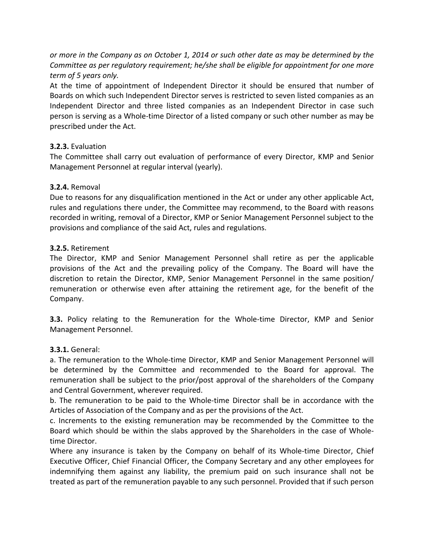or more in the Company as on October 1, 2014 or such other date as may be determined by the *Committee as per regulatory requirement; he/she shall be eligible for appointment for one more term of 5 years only.*

At the time of appointment of Independent Director it should be ensured that number of Boards on which such Independent Director serves is restricted to seven listed companies as an Independent Director and three listed companies as an Independent Director in case such person is serving as a Whole‐time Director of a listed company or such other number as may be prescribed under the Act.

# **3.2.3.** Evaluation

The Committee shall carry out evaluation of performance of every Director, KMP and Senior Management Personnel at regular interval (yearly).

## **3.2.4.** Removal

Due to reasons for any disqualification mentioned in the Act or under any other applicable Act, rules and regulations there under, the Committee may recommend, to the Board with reasons recorded in writing, removal of a Director, KMP or Senior Management Personnel subject to the provisions and compliance of the said Act, rules and regulations.

#### **3.2.5.** Retirement

The Director, KMP and Senior Management Personnel shall retire as per the applicable provisions of the Act and the prevailing policy of the Company. The Board will have the discretion to retain the Director, KMP, Senior Management Personnel in the same position/ remuneration or otherwise even after attaining the retirement age, for the benefit of the Company.

**3.3.** Policy relating to the Remuneration for the Whole-time Director, KMP and Senior Management Personnel.

#### **3.3.1.** General:

a. The remuneration to the Whole‐time Director, KMP and Senior Management Personnel will be determined by the Committee and recommended to the Board for approval. The remuneration shall be subject to the prior/post approval of the shareholders of the Company and Central Government, wherever required.

b. The remuneration to be paid to the Whole‐time Director shall be in accordance with the Articles of Association of the Company and as per the provisions of the Act.

c. Increments to the existing remuneration may be recommended by the Committee to the Board which should be within the slabs approved by the Shareholders in the case of Whole‐ time Director.

Where any insurance is taken by the Company on behalf of its Whole-time Director, Chief Executive Officer, Chief Financial Officer, the Company Secretary and any other employees for indemnifying them against any liability, the premium paid on such insurance shall not be treated as part of the remuneration payable to any such personnel. Provided that if such person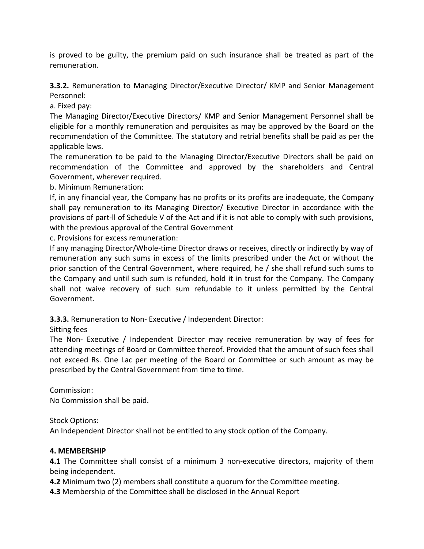is proved to be guilty, the premium paid on such insurance shall be treated as part of the remuneration.

**3.3.2.** Remuneration to Managing Director/Executive Director/ KMP and Senior Management Personnel:

a. Fixed pay:

The Managing Director/Executive Directors/ KMP and Senior Management Personnel shall be eligible for a monthly remuneration and perquisites as may be approved by the Board on the recommendation of the Committee. The statutory and retrial benefits shall be paid as per the applicable laws.

The remuneration to be paid to the Managing Director/Executive Directors shall be paid on recommendation of the Committee and approved by the shareholders and Central Government, wherever required.

b. Minimum Remuneration:

If, in any financial year, the Company has no profits or its profits are inadequate, the Company shall pay remuneration to its Managing Director/ Executive Director in accordance with the provisions of part‐ll of Schedule V of the Act and if it is not able to comply with such provisions, with the previous approval of the Central Government

c. Provisions for excess remuneration:

If any managing Director/Whole-time Director draws or receives, directly or indirectly by way of remuneration any such sums in excess of the limits prescribed under the Act or without the prior sanction of the Central Government, where required, he / she shall refund such sums to the Company and until such sum is refunded, hold it in trust for the Company. The Company shall not waive recovery of such sum refundable to it unless permitted by the Central Government.

**3.3.3.** Remuneration to Non‐ Executive / Independent Director:

# Sitting fees

The Non‐ Executive / Independent Director may receive remuneration by way of fees for attending meetings of Board or Committee thereof. Provided that the amount of such fees shall not exceed Rs. One Lac per meeting of the Board or Committee or such amount as may be prescribed by the Central Government from time to time.

Commission:

No Commission shall be paid.

Stock Options:

An Independent Director shall not be entitled to any stock option of the Company.

# **4. MEMBERSHIP**

**4.1** The Committee shall consist of a minimum 3 non-executive directors, majority of them being independent.

**4.2** Minimum two (2) members shall constitute a quorum for the Committee meeting.

**4.3** Membership of the Committee shall be disclosed in the Annual Report